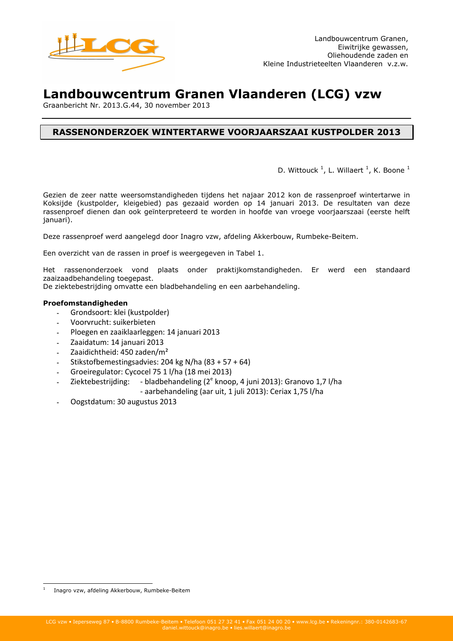

# Landbouwcentrum Granen Vlaanderen (LCG) vzw

Graanbericht Nr. 2013.G.44, 30 november 2013

# **RASSENONDERZOEK WINTERTARWE VOORJAARSZAAI KUSTPOLDER 2013**

D. Wittouck<sup>1</sup>, L. Willaert<sup>1</sup>, K. Boone<sup>1</sup>

Gezien de zeer natte weersomstandigheden tijdens het najaar 2012 kon de rassenproef wintertarwe in Koksijde (kustpolder, kleigebied) pas gezaaid worden op 14 januari 2013. De resultaten van deze rassenproef dienen dan ook geïnterpreteerd te worden in hoofde van vroege voorjaarszaai (eerste helft januari).

Deze rassenproef werd aangelegd door Inagro vzw, afdeling Akkerbouw, Rumbeke-Beitem.

Een overzicht van de rassen in proef is weergegeven in Tabel 1.

Het rassenonderzoek vond plaats onder praktijkomstandigheden. Er werd een standaard zaaizaadbehandeling toegepast.

De ziektebestrijding omvatte een bladbehandeling en een aarbehandeling.

## Proefomstandigheden

- Grondsoort: klei (kustpolder)  $\sim$
- Voorvrucht: suikerbieten
- Ploegen en zaaiklaarleggen: 14 januari 2013
- Zaaidatum: 14 januari 2013
- Zaaidichtheid: 450 zaden/m<sup>2</sup>
- Stikstofbemestingsadvies: 204 kg N/ha (83 + 57 + 64)
- Groeiregulator: Cycocel 75 1 l/ha (18 mei 2013)
- Ziektebestrijding: bladbehandeling (2<sup>e</sup> knoop, 4 juni 2013): Granovo 1,7 l/ha
	- aarbehandeling (aar uit, 1 juli 2013): Ceriax 1,75 l/ha
- Oogstdatum: 30 augustus 2013

Inagro vzw, afdeling Akkerbouw, Rumbeke-Beitem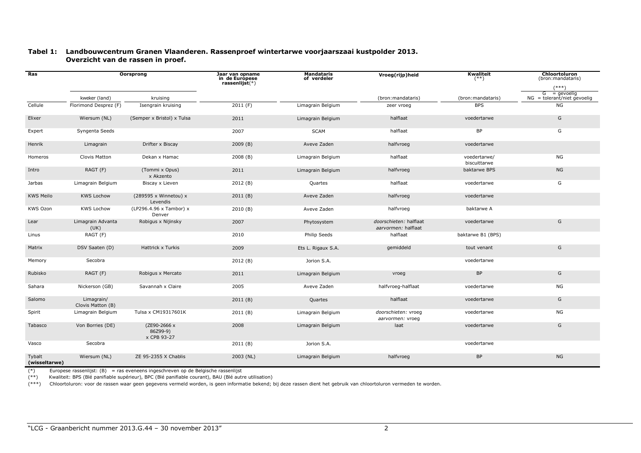### Tabel 1: Landbouwcentrum Granen Vlaanderen. Rassenproef wintertarwe voorjaarszaai kustpolder 2013. Overzicht van de rassen in proef.

| Ras                     | <b>Oorsprong</b>                |                                         | Jaar van opname<br>in de Europese<br>rassenlijst(*) | Mandataris<br>of verdeler | Vroeg(rijp)heid                               | Kwaliteit<br>$^{(**)}$       | <b>Chloortoluron</b><br>(bron:mandataris)<br>$(***)$ |
|-------------------------|---------------------------------|-----------------------------------------|-----------------------------------------------------|---------------------------|-----------------------------------------------|------------------------------|------------------------------------------------------|
|                         | kweker (land)                   | kruising                                |                                                     |                           | (bron:mandataris)                             | (bron:mandataris)            | = aevoelia<br>G<br>$NG = tolerant/niet gevoelig$     |
| Cellule                 | Florimond Desprez (F)           | Isengrain kruising                      | 2011(F)                                             | Limagrain Belgium         | zeer vroeg                                    | <b>BPS</b>                   | <b>NG</b>                                            |
| Elixer                  | Wiersum (NL)                    | (Semper x Bristol) x Tulsa              | 2011                                                | Limagrain Belgium         | halflaat                                      | voedertarwe                  | G                                                    |
| Expert                  | Syngenta Seeds                  |                                         | 2007                                                | <b>SCAM</b>               | halflaat                                      | <b>BP</b>                    | G                                                    |
| Henrik                  | Limagrain                       | Drifter x Biscay                        | 2009(B)                                             | Aveve Zaden               | halfvroeg                                     | voedertarwe                  |                                                      |
| Homeros                 | Clovis Matton                   | Dekan x Hamac                           | 2008(B)                                             | Limagrain Belgium         | halflaat                                      | voedertarwe/<br>biscuittarwe | NG                                                   |
| Intro                   | RAGT (F)                        | (Tommi x Opus)<br>x Akzento             | 2011                                                | Limagrain Belgium         | halfvroeg                                     | baktarwe BPS                 | <b>NG</b>                                            |
| Jarbas                  | Limagrain Belgium               | Biscay x Lieven                         | 2012 (B)                                            | Quartes                   | halflaat                                      | voedertarwe                  | G                                                    |
| <b>KWS Meilo</b>        | <b>KWS Lochow</b>               | (289595 x Winnetou) x<br>Levendis       | 2011(B)                                             | Aveve Zaden               | halfvroeg                                     | voedertarwe                  |                                                      |
| <b>KWS Ozon</b>         | <b>KWS Lochow</b>               | (LP296.4.96 x Tambor) x<br>Denver       | 2010(B)                                             | Aveve Zaden               | halfvroeg                                     | baktarwe A                   |                                                      |
| Lear                    | Limagrain Advanta<br>(UK)       | Robigus x Nijinsky                      | 2007                                                | Phytosystem               | doorschieten: halflaat<br>aarvormen: halflaat | voedertarwe                  | G                                                    |
| Linus                   | RAGT (F)                        |                                         | 2010                                                | Philip Seeds              | halflaat                                      | baktarwe B1 (BPS)            |                                                      |
| Matrix                  | DSV Saaten (D)                  | Hattrick x Turkis                       | 2009                                                | Ets L. Rigaux S.A.        | gemiddeld                                     | tout venant                  | G                                                    |
| Memory                  | Secobra                         |                                         | 2012 (B)                                            | Jorion S.A.               |                                               | voedertarwe                  |                                                      |
| Rubisko                 | RAGT (F)                        | Robigus x Mercato                       | 2011                                                | Limagrain Belgium         | vroeg                                         | <b>BP</b>                    | G                                                    |
| Sahara                  | Nickerson (GB)                  | Savannah x Claire                       | 2005                                                | Aveve Zaden               | halfvroeg-halflaat                            | voedertarwe                  | NG                                                   |
| Salomo                  | Limagrain/<br>Clovis Matton (B) |                                         | 2011(B)                                             | Quartes                   | halflaat                                      | voedertarwe                  | G                                                    |
| Spirit                  | Limagrain Belgium               | Tulsa x CM19317601K                     | 2011 (B)                                            | Limagrain Belgium         | doorschieten: vroeg<br>aarvormen: vroeg       | voedertarwe                  | <b>NG</b>                                            |
| Tabasco                 | Von Borries (DE)                | (ZE90-2666 x<br>86Z99-9)<br>x CPB 93-27 | 2008                                                | Limagrain Belgium         | laat                                          | voedertarwe                  | G                                                    |
| Vasco                   | Secobra                         |                                         | 2011(B)                                             | Jorion S.A.               |                                               | voedertarwe                  |                                                      |
| Tybalt<br>(wisseltarwe) | Wiersum (NL)                    | ZE 95-2355 X Chablis                    | 2003 (NL)                                           | Limagrain Belgium         | halfvroeg                                     | <b>BP</b>                    | <b>NG</b>                                            |

Europese rassenlijst:  $(B)$  = ras eveneens ingeschreven op de Belgische rassenlijst  $(*)$ 

(\*\*) Kwaliteit: BPS (Blé panifiable supérieur), BPC (Blé panifiable courant), BAU (Blé autre utilisation)

(\*\*\*) Chloortoluron: voor de rassen waar geen gegevens vermeld worden, is geen informatie bekend; bij deze rassen dient het gebruik van chloortoluron vermeden te worden.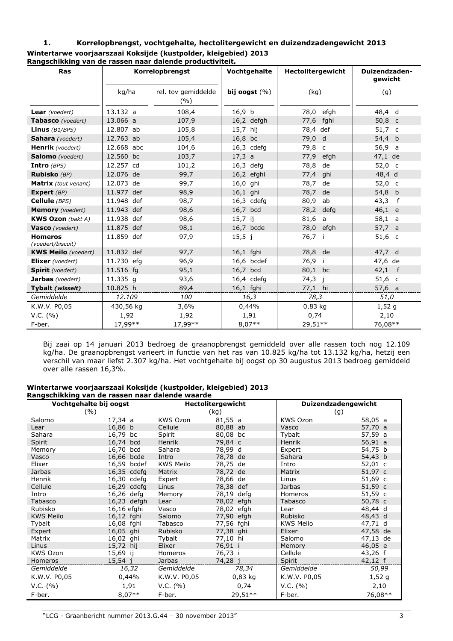#### $\mathbf{1}$ . Korrelopbrengst, vochtgehalte, hectolitergewicht en duizendzadengewicht 2013 Wintertarwe voorjaarszaai Koksijde (kustpolder, kleigebied) 2013 Rangschikking van de rassen naar dalende productiviteit.

| <b>Ras</b>                          |            | Korrelopbrengst            | Vochtgehalte      | Hectolitergewicht | Duizendzaden-<br>gewicht |  |
|-------------------------------------|------------|----------------------------|-------------------|-------------------|--------------------------|--|
|                                     | kg/ha      | rel. tov gemiddelde<br>(%) | bij oogst $(\% )$ | (kq)              | (g)                      |  |
| <b>Lear</b> (voedert)               | 13.132 a   | 108,4                      | 16,9 <sub>b</sub> | 78,0 efgh         | 48,4 d                   |  |
| <b>Tabasco</b> (voedert)            | 13.066 a   | 107,9                      | 16,2 defgh        | fghi<br>77,6      | 50,8 $c$                 |  |
| Linus $(B1/BPS)$                    | 12.807 ab  | 105,8                      | $15,7$ hij        | 78,4 def          | $51,7$ c                 |  |
| Sahara (voedert)                    | 12.763 ab  | 105,4                      | 16,8 bc           | 79,0 d            | 54,4 b                   |  |
| <b>Henrik</b> (voedert)             | 12.668 abc | 104,6                      | $16,3$ cdefg      | 79,8 c            | 56,9<br>a                |  |
| Salomo (voedert)                    | 12.560 bc  | 103,7                      | 17,3 a            | 77,9<br>efgh      | 47,1 de                  |  |
| Intro $(BPS)$                       | 12.257 cd  | 101,2                      | $16,3$ defg       | 78,8<br>de        | 52,0 c                   |  |
| Rubisko (BP)                        | 12.076 de  | 99,7                       | 16,2 efghi        | 77,4<br>ghi       | 48,4 d                   |  |
| <b>Matrix</b> (tout venant)         | 12.073 de  | 99,7                       | 16,0 ghi          | 78,7<br>de        | 52,0 c                   |  |
| Expert (BP)                         | 11.977 def | 98,9                       | 16,1 ghi          | 78,7<br>de        | 54,8 b                   |  |
| Cellule (BPS)                       | 11.948 def | 98,7                       | $16,3$ cdefg      | 80,9<br>ab        | 43,3<br>f                |  |
| <b>Memory</b> (voedert)             | 11.943 def | 98,6                       | 16,7 bcd          | 78,2 defg         | 46,1 e                   |  |
| <b>KWS Ozon</b> (bakt A)            | 11.938 def | 98,6                       | $15,7$ ij         | 81,6 a            | 58,1 a                   |  |
| Vasco (voedert)                     | 11.875 def | 98,1                       | 16,7 bcde         | 78,0 efgh         | 57,7 a                   |  |
| <b>Homeros</b><br>(voedert/biscuit) | 11.859 def | 97,9                       | $15,5 \; j$       | 76,7 i            | $51,6$ c                 |  |
| <b>KWS Meilo</b> (voedert)          | 11.832 def | 97,7                       | 16,1 fghi         | 78,8 de           | 47.7 d                   |  |
| <b>Elixer</b> (voedert)             | 11.730 efg | 96,9                       | 16,6 bcdef        | 76,9<br>-i        | 47,6 de                  |  |
| <b>Spirit</b> (voedert)             | 11.516 fg  | 95,1                       | 16,7 bcd          | 80,1 bc           | $42,1$ f                 |  |
| <b>Jarbas</b> (voedert)             | 11.335 g   | 93,6                       | 16,4 cdefg        | 74,3<br>j.        | $51,6$ c                 |  |
| Tybalt (wisselt)                    | 10.825 h   | 89,4                       | 16,1 fghi         | 77,1 hi           | 57,6 a                   |  |
| Gemiddelde                          | 12.109     | 100                        | 16,3              | 78,3              | 51,0                     |  |
| K.W.V. P0,05                        | 430,56 kg  | 3,6%                       | 0,44%             | $0,83$ kg         | 1,52g                    |  |
| V.C. (%)                            | 1,92       | 1,92                       | 1,91              | 0,74              | 2,10                     |  |
| F-ber.                              | 17,99**    | 17,99**                    | $8,07**$          | 29,51**           | 76,08**                  |  |

Bij zaai op 14 januari 2013 bedroeg de graanopbrengst gemiddeld over alle rassen toch nog 12.109 kg/ha. De graanopbrengst varieert in functie van het ras van 10.825 kg/ha tot 13.132 kg/ha, hetzij een verschil van maar liefst 2.307 kg/ha. Het vochtgehalte bij oogst op 30 augustus 2013 bedroeg gemiddeld over alle rassen 16,3%.

## Wintertarwe voorjaarszaai Koksijde (kustpolder, kleigebied) 2013 Rangschikking van de rassen naar dalende waarde

| Vochtgehalte bij oogst<br>(%) |                |                  | <b>Hectolitergewicht</b><br>(kg) | <b>Duizendzadengewicht</b><br>(g) |           |  |
|-------------------------------|----------------|------------------|----------------------------------|-----------------------------------|-----------|--|
| Salomo                        | 17,34 a        | <b>KWS Ozon</b>  | 81,55 a                          | KWS Ozon                          | 58,05 a   |  |
| Lear                          | 16,86 b        | Cellule          | 80,88 ab                         | Vasco                             | 57,70 a   |  |
| Sahara                        | 16,79 bc       | Spirit           | 80,08 bc                         | Tybalt                            | 57,59 a   |  |
| Spirit                        | 16,74<br>bcd   | Henrik           | 79,84 c                          | <b>Henrik</b>                     | 56,91 a   |  |
| Memory                        | 16,70<br>bcd   | Sahara           | 78,99 d                          | Expert                            | 54,75 b   |  |
| Vasco                         | 16,66 bcde     | Intro            | 78,78 de                         | Sahara                            | 54,43 b   |  |
| Elixer                        | 16,59<br>bcdef | <b>KWS Meilo</b> | 78,75 de                         | Intro                             | 52,01 c   |  |
| <b>Jarbas</b>                 | 16,35 cdefg    | Matrix           | 78,72 de                         | Matrix                            | 51,97 c   |  |
| Henrik                        | 16,30 cdefg    | Expert           | 78,66 de                         | Linus                             | 51,69 c   |  |
| Cellule                       | 16,29 cdefg    | Linus            | 78,38 def                        | <b>Jarbas</b>                     | $51,59$ c |  |
| Intro                         | 16,26 defg     | Memory           | 78,19 defg                       | Homeros                           | 51,59 c   |  |
| Tabasco                       | 16,23 defgh    | Lear             | 78,02 efgh                       | Tabasco                           | 50,78 c   |  |
| Rubisko                       | 16,16 efghi    | Vasco            | 78,02 efgh                       | Lear                              | 48,44 d   |  |
| <b>KWS Meilo</b>              | 16,12 fghi     | Salomo           | 77,90 efgh                       | Rubisko                           | 48,43 d   |  |
| Tybalt                        | 16,08 fghi     | Tabasco          | 77,56 fghi                       | <b>KWS Meilo</b>                  | 47,71 d   |  |
| Expert                        | 16,05 ghi      | Rubisko          | 77,38 ghi                        | Elixer                            | 47,58 de  |  |
| Matrix                        | 16,02 ghi      | Tybalt           | 77,10 hi                         | Salomo                            | 47,13 de  |  |
| Linus                         | 15,72<br>hij   | Elixer           | 76,91 i                          | Memory                            | 46,05 e   |  |
| <b>KWS Ozon</b>               | 15,69 ij       | Homeros          | 76,73 i                          | Cellule                           | $43,26$ f |  |
| Homeros                       | 15,54 j        | Jarbas           | 74,28 i                          | Spirit                            | $42,12$ f |  |
| Gemiddelde                    | 16,32          | Gemiddelde       | 78,34                            | Gemiddelde                        | 50,99     |  |
| K.W.V. P0,05                  | 0,44%          | K.W.V. P0,05     | $0.83$ kg                        | K.W.V. P0,05                      | 1,52g     |  |
| V.C. (%)                      | 1,91           | V.C. (%)         | 0,74                             | V.C. (%)                          | 2,10      |  |
| F-ber.                        | $8,07**$       | F-ber.           | $29,51**$                        | F-ber.                            | 76,08**   |  |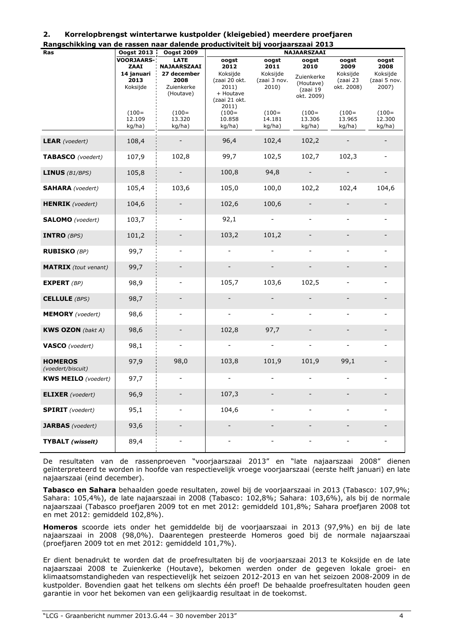| <b>Ras</b>                  | <b>Oogst 2013</b> | <b>Oogst 2009</b>            | NAJAARSZAAI                  |                          |                              |                          |                          |
|-----------------------------|-------------------|------------------------------|------------------------------|--------------------------|------------------------------|--------------------------|--------------------------|
|                             | <b>VOORJAARS-</b> | <b>LATE</b>                  | oogst                        | oogst                    | oogst                        | oogst                    | oogst                    |
|                             | ZAAI              | NAJAARSZAAI                  | 2012                         | 2011                     | 2010                         | 2009                     | 2008                     |
|                             | 14 januari        | 27 december                  | Koksijde                     | Koksijde                 | Zuienkerke                   | Koksijde                 | Koksijde                 |
|                             | 2013              | 2008                         | (zaai 20 okt.                | (zaai 3 nov.             | (Houtave)                    | (zaai 23                 | (zaai 5 nov.             |
|                             | Koksijde          | Zuienkerke                   | 2011)                        | 2010)                    |                              | okt. 2008)               | 2007)                    |
|                             |                   | (Houtave)                    | + Houtave                    |                          | (zaai 19                     |                          |                          |
|                             |                   |                              | (zaai 21 okt.                |                          | okt. 2009)                   |                          |                          |
|                             |                   |                              |                              |                          |                              |                          |                          |
|                             |                   |                              | 2011)                        |                          |                              |                          |                          |
|                             | $(100=$           | $(100=$                      | $(100=$                      | $(100=$                  | $(100=$                      | $(100=$                  | $(100=$                  |
|                             | 12.109            | 13.320                       | 10.858                       | 14.181                   | 13.306                       | 13.965                   | 12.300                   |
|                             | kg/ha)            | kg/ha)                       | kg/ha)                       | kg/ha)                   | kg/ha)                       | kg/ha)                   | kg/ha)                   |
|                             |                   |                              |                              |                          |                              |                          |                          |
| <b>LEAR</b> (voedert)       | 108,4             |                              | 96,4                         | 102,4                    | 102,2                        |                          |                          |
|                             |                   |                              |                              |                          |                              |                          |                          |
|                             |                   |                              |                              |                          |                              |                          |                          |
| TABASCO (voedert)           | 107,9             | 102,8                        | 99,7                         | 102,5                    | 102,7                        | 102,3                    |                          |
|                             |                   |                              |                              |                          |                              |                          |                          |
|                             |                   |                              |                              | 94,8                     | $\overline{\phantom{a}}$     |                          |                          |
| <b>LINUS</b> $(B1/BPS)$     | 105,8             |                              | 100,8                        |                          |                              |                          |                          |
|                             |                   |                              |                              |                          |                              |                          |                          |
| <b>SAHARA</b> (voedert)     | 105,4             | 103,6                        | 105,0                        | 100,0                    | 102,2                        | 102,4                    | 104,6                    |
|                             |                   |                              |                              |                          |                              |                          |                          |
|                             |                   |                              |                              |                          |                              |                          |                          |
| <b>HENRIK</b> (voedert)     | 104,6             |                              | 102,6                        | 100,6                    |                              |                          |                          |
|                             |                   |                              |                              |                          |                              |                          |                          |
| <b>SALOMO</b> (voedert)     | 103,7             | $\blacksquare$               | 92,1                         |                          |                              | $\blacksquare$           |                          |
|                             |                   |                              |                              |                          |                              |                          |                          |
|                             |                   |                              |                              |                          |                              |                          |                          |
| <b>INTRO</b> $(BPS)$        | 101,2             |                              | 103,2                        | 101,2                    |                              |                          |                          |
|                             |                   |                              |                              |                          |                              |                          |                          |
|                             |                   |                              |                              |                          |                              |                          |                          |
| <b>RUBISKO</b> (BP)         | 99,7              |                              |                              |                          | $\overline{\phantom{0}}$     | $\overline{\phantom{a}}$ |                          |
|                             |                   |                              |                              |                          |                              |                          |                          |
| <b>MATRIX</b> (tout venant) | 99,7              |                              |                              |                          | $\overline{\phantom{a}}$     |                          |                          |
|                             |                   |                              |                              |                          |                              |                          |                          |
|                             |                   |                              |                              |                          |                              |                          |                          |
| <b>EXPERT</b> (BP)          | 98,9              |                              | 105,7                        | 103,6                    | 102,5                        | $\overline{\phantom{a}}$ |                          |
|                             |                   |                              |                              |                          |                              |                          |                          |
|                             |                   |                              |                              |                          |                              |                          |                          |
| <b>CELLULE</b> (BPS)        | 98,7              |                              |                              |                          |                              |                          |                          |
|                             |                   |                              |                              |                          |                              |                          |                          |
| <b>MEMORY</b> (voedert)     | 98,6              | $\overline{\phantom{a}}$     | $\qquad \qquad \blacksquare$ | $\overline{\phantom{0}}$ | $\overline{\phantom{a}}$     | $\overline{\phantom{a}}$ |                          |
|                             |                   |                              |                              |                          |                              |                          |                          |
|                             |                   |                              |                              |                          |                              |                          |                          |
| <b>KWS OZON</b> (bakt A)    | 98,6              |                              | 102,8                        | 97,7                     |                              |                          |                          |
|                             |                   |                              |                              |                          |                              |                          |                          |
| <b>VASCO</b> (voedert)      | 98,1              | $\overline{\phantom{a}}$     | $\overline{\phantom{a}}$     | $\overline{\phantom{0}}$ | $\qquad \qquad \blacksquare$ | $\blacksquare$           |                          |
|                             |                   |                              |                              |                          |                              |                          |                          |
|                             |                   |                              |                              |                          |                              |                          |                          |
| <b>HOMEROS</b>              | 97,9              | 98,0                         | 103,8                        | 101,9                    | 101,9                        | 99,1                     |                          |
| (voedert/biscuit)           |                   |                              |                              |                          |                              |                          |                          |
|                             |                   |                              |                              |                          |                              |                          |                          |
| <b>KWS MEILO</b> (voedert)  | 97,7              |                              |                              |                          |                              |                          |                          |
|                             |                   |                              |                              |                          |                              |                          |                          |
| <b>ELIXER</b> (voedert)     | 96,9              |                              | 107,3                        |                          |                              |                          |                          |
|                             |                   |                              |                              |                          |                              |                          |                          |
|                             |                   |                              |                              |                          |                              |                          |                          |
| <b>SPIRIT</b> (voedert)     | 95,1              | $\qquad \qquad \blacksquare$ | 104,6                        | -                        | $\qquad \qquad \blacksquare$ | $\overline{\phantom{0}}$ | $\overline{\phantom{a}}$ |
|                             |                   |                              |                              |                          |                              |                          |                          |
| <b>JARBAS</b> (voedert)     | 93,6              |                              |                              |                          |                              |                          |                          |
|                             |                   |                              |                              |                          |                              |                          |                          |
|                             |                   |                              |                              |                          |                              |                          |                          |
| <b>TYBALT</b> (wisselt)     | 89,4              | $\qquad \qquad \blacksquare$ | $\blacksquare$               | $\overline{\phantom{0}}$ | $\overline{\phantom{0}}$     | $\blacksquare$           | $\blacksquare$           |
|                             |                   |                              |                              |                          |                              |                          |                          |

#### $2.$ Korrelopbrengst wintertarwe kustpolder (kleigebied) meerdere proefjaren

Rangschikking van de rassen naar dalende productiviteit bij voorjaarszaaj 2013

De resultaten van de rassenproeven "voorjaarszaai 2013" en "late najaarszaai 2008" dienen geïnterpreteerd te worden in hoofde van respectievelijk vroege voorjaarszaai (eerste helft januari) en late najaarszaai (eind december).

Tabasco en Sahara behaalden goede resultaten, zowel bij de voorjaarszaai in 2013 (Tabasco: 107,9%; Sahara: 105.4%), de late najaarszaai in 2008 (Tabasco: 102.8%; Sahara: 103.6%), als bij de normale najaarszaai (Tabasco proefjaren 2009 tot en met 2012: gemiddeld 101,8%; Sahara proefjaren 2008 tot en met 2012: gemiddeld 102,8%).

Homeros scoorde iets onder het gemiddelde bij de voorjaarszaai in 2013 (97,9%) en bij de late najaarszaai in 2008 (98,0%). Daarentegen presteerde Homeros goed bij de normale najaarszaai (proefjaren 2009 tot en met 2012: gemiddeld 101,7%).

Er dient benadrukt te worden dat de proefresultaten bij de voorjaarszaai 2013 te Koksijde en de late najaarszaai 2008 te Zuienkerke (Houtave), bekomen werden onder de gegeven lokale groei- en klimaatsomstandigheden van respectievelijk het seizoen 2012-2013 en van het seizoen 2008-2009 in de kustpolder. Bovendien gaat het telkens om slechts één proef! De behaalde proefresultaten houden geen garantie in voor het bekomen van een gelijkaardig resultaat in de toekomst.